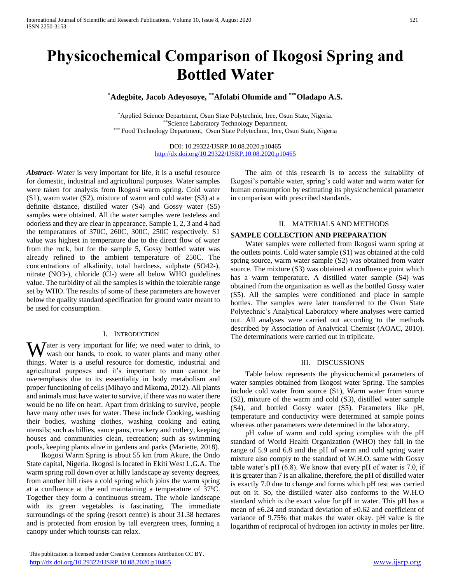# **Physicochemical Comparison of Ikogosi Spring and Bottled Water**

**\*Adegbite, Jacob Adeyosoye, \*\*Afolabi Olumide and \*\*\*Oladapo A.S.**

\*Applied Science Department, Osun State Polytechnic, Iree, Osun State, Nigeria. \*\*Science Laboratory Technology Department, \*\*\* Food Technology Department, Osun State Polytechnic, Iree, Osun State, Nigeria

> DOI: 10.29322/IJSRP.10.08.2020.p10465 <http://dx.doi.org/10.29322/IJSRP.10.08.2020.p10465>

*Abstract***-** Water is very important for life, it is a useful resource for domestic, industrial and agricultural purposes. Water samples were taken for analysis from Ikogosi warm spring. Cold water (S1), warm water (S2), mixture of warm and cold water (S3) at a definite distance, distilled water (S4) and Gossy water (S5) samples were obtained. All the water samples were tasteless and odorless and they are clear in appearance. Sample 1, 2, 3 and 4 had the temperatures of 370C, 260C, 300C, 250C respectively. S1 value was highest in temperature due to the direct flow of water from the rock, but for the sample 5, Gossy bottled water was already refined to the ambient temperature of 250C. The concentrations of alkalinity, total hardness, sulphate (SO42-), nitrate (NO3-), chloride (Cl-) were all below WHO guidelines value. The turbidity of all the samples is within the tolerable range set by WHO. The results of some of these parameters are however below the quality standard specification for ground water meant to be used for consumption.

### I. INTRODUCTION

Water is very important for life; we need water to drink, to wash our hands, to cook, to water plants and many other wash our hands, to cook, to water plants and many other things. Water is a useful resource for domestic, industrial and agricultural purposes and it's important to man cannot be overemphasis due to its essentiality in body metabolism and proper functioning of cells (Mihayo and Mkoma, 2012). All plants and animals must have water to survive, if there was no water there would be no life on heart. Apart from drinking to survive, people have many other uses for water. These include Cooking, washing their bodies, washing clothes, washing cooking and eating utensils; such as billies, sauce pans, crockery and cutlery, keeping houses and communities clean, recreation; such as swimming pools, keeping plants alive in gardens and parks (Mariette, 2018).

 Ikogosi Warm Spring is about 55 km from Akure, the Ondo State capital, Nigeria. Ikogosi is located in Ekiti West L.G.A. The warm spring roll down over at hilly landscape ay seventy degrees, from another hill rises a cold spring which joins the warm spring at a confluence at the end maintaining a temperature of  $37^{\circ}$ C. Together they form a continuous stream. The whole landscape with its green vegetables is fascinating. The immediate surroundings of the spring (resort centre) is about 31.38 hectares and is protected from erosion by tall evergreen trees, forming a canopy under which tourists can relax.

 The aim of this research is to access the suitability of Ikogosi's portable water, spring's cold water and warm water for human consumption by estimating its physicochemical parameter in comparison with prescribed standards.

## II. MATERIALS AND METHODS

# **SAMPLE COLLECTION AND PREPARATION**

 Water samples were collected from Ikogosi warm spring at the outlets points. Cold water sample (S1) was obtained at the cold spring source, warm water sample (S2) was obtained from water source. The mixture (S3) was obtained at confluence point which has a warm temperature. A distilled water sample (S4) was obtained from the organization as well as the bottled Gossy water (S5). All the samples were conditioned and place in sample bottles. The samples were later transferred to the Osun State Polytechnic's Analytical Laboratory where analyses were carried out. All analyses were carried out according to the methods described by Association of Analytical Chemist (AOAC, 2010). The determinations were carried out in triplicate.

#### III. DISCUSSIONS

 Table below represents the physicochemical parameters of water samples obtained from Ikogosi water Spring. The samples include cold water from source (S1), Warm water from source (S2), mixture of the warm and cold (S3), distilled water sample (S4), and bottled Gossy water (S5). Parameters like pH, temperature and conductivity were determined at sample points whereas other parameters were determined in the laboratory.

 pH value of warm and cold spring complies with the pH standard of World Health Organization (WHO) they fall in the range of 5.9 and 6.8 and the pH of warm and cold spring water mixture also comply to the standard of W.H.O. same with Gossy table water's pH (6.8). We know that every pH of water is 7.0, if it is greater than 7 is an alkaline, therefore, the pH of distilled water is exactly 7.0 due to change and forms which pH test was carried out on it. So, the distilled water also conforms to the W.H.O standard which is the exact value for pH in water. This pH has a mean of  $\pm 6.24$  and standard deviation of  $\pm 0.62$  and coefficient of variance of 9.75% that makes the water okay. pH value is the logarithm of reciprocal of hydrogen ion activity in moles per litre.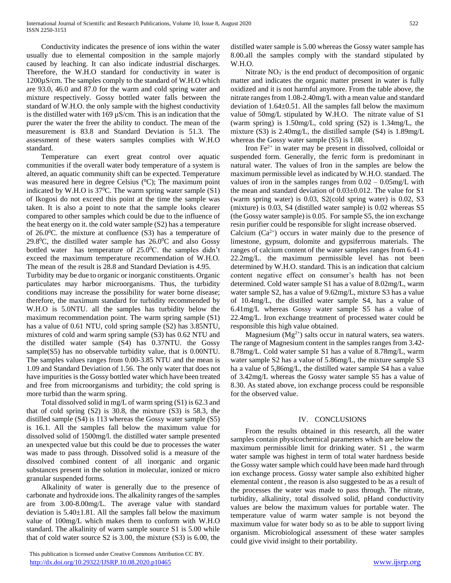Conductivity indicates the presence of ions within the water usually due to elemental composition in the sample majorly caused by leaching. It can also indicate industrial discharges. Therefore, the W.H.O standard for conductivity in water is 1200µS/cm. The samples comply to the standard of W.H.O which are 93.0, 46.0 and 87.0 for the warm and cold spring water and mixture respectively. Gossy bottled water falls between the standard of W.H.O. the only sample with the highest conductivity is the distilled water with  $169 \mu S/cm$ . This is an indication that the purer the water the freer the ability to conduct. The mean of the measurement is 83.8 and Standard Deviation is 51.3. The assessment of these waters samples complies with W.H.O standard.

 Temperature can exert great control over aquatic communities if the overall water body temperature of a system is altered, an aquatic community shift can be expected. Temperature was measured here in degree Celsius  $(^{0}C)$ ; The maximum point indicated by W.H.O is  $37^{\circ}$ C. The warm spring water sample (S1) of Ikogosi do not exceed this point at the time the sample was taken. It is also a point to note that the sample looks clearer compared to other samples which could be due to the influence of the heat energy on it. the cold water sample (S2) has a temperature of  $26.0^{\circ}$ C. the mixture at confluence (S3) has a temperature of 29.8<sup>0</sup>C, the distilled water sample has  $26.0$ <sup>0</sup>C and also Gossy bottled water has temperature of  $25.0^{\circ}$ C. the samples didn't exceed the maximum temperature recommendation of W.H.O. The mean of the result is 28.8 and Standard Deviation is 4.95.

Turbidity may be due to organic or inorganic constituents. Organic particulates may harbor microorganisms. Thus, the turbidity conditions may increase the possibility for water borne disease; therefore, the maximum standard for turbidity recommended by W.H.O is 5.0NTU. all the samples has turbidity below the maximum recommendation point. The warm spring sample (S1) has a value of 0.61 NTU, cold spring sample (S2) has 3.85NTU, mixtures of cold and warm spring sample (S3) has 0.62 NTU and the distilled water sample (S4) has 0.37NTU. the Gossy sample(S5) has no observable turbidity value, that is 0.00NTU. The samples values ranges from 0.00-3.85 NTU and the mean is 1.09 and Standard Deviation of 1.56. The only water that does not have impurities is the Gossy bottled water which have been treated and free from microorganisms and turbidity; the cold spring is more turbid than the warm spring.

 Total dissolved solid in mg/L of warm spring (S1) is 62.3 and that of cold spring (S2) is 30.8, the mixture (S3) is 58.3, the distilled sample (S4) is 113 whereas the Gossy water sample (S5) is 16.1. All the samples fall below the maximum value for dissolved solid of 1500mg/l. the distilled water sample presented an unexpected value but this could be due to processes the water was made to pass through. Dissolved solid is a measure of the dissolved combined content of all inorganic and organic substances present in the solution in molecular, ionized or micro granular suspended forms.

 Alkalinity of water is generally due to the presence of carbonate and hydroxide ions. The alkalinity ranges of the samples are from 3.00-8.00mg/L. The average value with standard deviation is  $5.40 \pm 1.81$ . All the samples fall below the maximum value of 100mg/L which makes them to conform with W.H.O standard. The alkalinity of warm sample source S1 is 5.00 while that of cold water source S2 is 3.00, the mixture (S3) is 6.00, the

 This publication is licensed under Creative Commons Attribution CC BY. <http://dx.doi.org/10.29322/IJSRP.10.08.2020.p10465> [www.ijsrp.org](http://ijsrp.org/)

distilled water sample is 5.00 whereas the Gossy water sample has 8.00.all the samples comply with the standard stipulated by W.H.O.

Nitrate  $NO_3$ <sup>-</sup> is the end product of decomposition of organic matter and indicates the organic matter present in water is fully oxidized and it is not harmful anymore. From the table above, the nitrate ranges from 1.08-2.40mg/L with a mean value and standard deviation of 1.64±0.51. All the samples fall below the maximum value of 50mg/L stipulated by W.H.O. The nitrate value of S1 (warm spring) is 1.50mg/L, cold spring (S2) is 1.34mg/L, the mixture (S3) is 2.40mg/L, the distilled sample (S4) is 1.89mg/L whereas the Gossy water sample  $(S5)$  is 1.08.

Iron  $Fe<sup>2+</sup>$  in water may be present in dissolved, colloidal or suspended form. Generally, the ferric form is predominant in natural water. The values of Iron in the samples are below the maximum permissible level as indicated by W.H.O. standard. The values of iron in the samples ranges from  $0.02 - 0.05$ mg/L with the mean and standard deviation of 0.03±0.012. The value for S1 (warm spring water) is 0.03, S2(cold spring water) is 0.02, S3 (mixture) is 0.03, S4 (distilled water sample) is 0.02 whereas S5 (the Gossy water sample) is 0.05. For sample S5, the ion exchange resin purifier could be responsible for slight increase observed.

Calcium  $(Ca^{2+})$  occurs in water mainly due to the presence of limestone, gypsum, dolomite and gypsiferrous materials. The ranges of calcium content of the water samples ranges from 6.41 - 22.2mg/L. the maximum permissible level has not been determined by W.H.O. standard. This is an indication that calcium content negative effect on consumer's health has not been determined. Cold water sample S1 has a value of 8.02mg/L, warm water sample S2, has a value of 9.62mg/L, mixture S3 has a value of 10.4mg/L, the distilled water sample S4, has a value of 6.41mg/L whereas Gossy water sample S5 has a value of 22.4mg/L. Iron exchange treatment of processed water could be responsible this high value obtained.

Magnesium  $(Mg^{2+})$  salts occur in natural waters, sea waters. The range of Magnesium content in the samples ranges from 3.42- 8.78mg/L. Cold water sample S1 has a value of 8.78mg/L, warm water sample S2 has a value of 5.86mg/L, the mixture sample S3 ha a value of 5,86mg/L, the distilled water sample S4 has a value of 3.42mg/L whereas the Gossy water sample S5 has a value of 8.30. As stated above, ion exchange process could be responsible for the observed value.

# IV. CONCLUSIONS

 From the results obtained in this research, all the water samples contain physicochemical parameters which are below the maximum permissible limit for drinking water. S1 , the warm water sample was highest in term of total water hardness beside the Gossy water sample which could have been made hard through ion exchange process. Gossy water sample also exhibited higher elemental content , the reason is also suggested to be as a result of the processes the water was made to pass through. The nitrate, turbidity, alkalinity, total dissolved solid, pHand conductivity values are below the maximum values for portable water. The temperature value of warm water sample is not beyond the maximum value for water body so as to be able to support living organism. Microbiological assessment of these water samples could give vivid insight to their portability.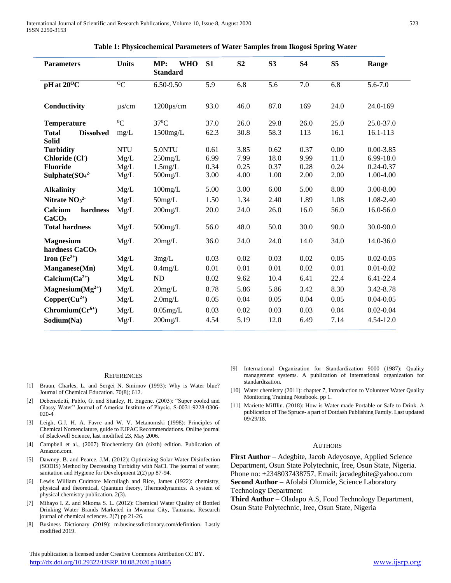| <b>Parameters</b>                                | <b>Units</b>       | MP:<br><b>WHO</b><br><b>Standard</b> | S1   | S <sub>2</sub> | S <sub>3</sub> | <b>S4</b> | S <sub>5</sub> | Range         |
|--------------------------------------------------|--------------------|--------------------------------------|------|----------------|----------------|-----------|----------------|---------------|
| pH at $20^{\circ}$ C                             | $\overline{O_{C}}$ | 6.50-9.50                            | 5.9  | 6.8            | 5.6            | 7.0       | 6.8            | $5.6 - 7.0$   |
| Conductivity                                     | $\mu$ s/cm         | $1200\mu s/cm$                       | 93.0 | 46.0           | 87.0           | 169       | 24.0           | 24.0-169      |
| Temperature                                      | ${}^{0}C$          | $37^0C$                              | 37.0 | 26.0           | 29.8           | 26.0      | 25.0           | 25.0-37.0     |
| <b>Dissolved</b><br><b>Total</b><br><b>Solid</b> | mg/L               | 1500mg/L                             | 62.3 | 30.8           | 58.3           | 113       | 16.1           | 16.1-113      |
| <b>Turbidity</b>                                 | <b>NTU</b>         | 5.0NTU                               | 0.61 | 3.85           | 0.62           | 0.37      | 0.00           | $0.00 - 3.85$ |
| Chloride (Cl <sup>-</sup> )                      | Mg/L               | $250$ mg/L                           | 6.99 | 7.99           | 18.0           | 9.99      | 11.0           | 6.99-18.0     |
| <b>Fluoride</b>                                  | Mg/L               | $1.5$ mg/L                           | 0.34 | 0.25           | 0.37           | 0.28      | 0.24           | $0.24 - 0.37$ |
| Sulphate $(SO42$                                 | Mg/L               | $500$ mg/L                           | 3.00 | 4.00           | 1.00           | 2.00      | 2.00           | 1.00-4.00     |
| <b>Alkalinity</b>                                | Mg/L               | $100$ mg/L                           | 5.00 | 3.00           | 6.00           | 5.00      | 8.00           | 3.00-8.00     |
| Nitrate $NO32$                                   | Mg/L               | $50$ mg/L                            | 1.50 | 1.34           | 2.40           | 1.89      | 1.08           | 1.08-2.40     |
| Calcium<br>hardness<br>CaCO <sub>3</sub>         | Mg/L               | $200$ mg/L                           | 20.0 | 24.0           | 26.0           | 16.0      | 56.0           | 16.0-56.0     |
| <b>Total hardness</b>                            | Mg/L               | $500$ mg/L                           | 56.0 | 48.0           | 50.0           | 30.0      | 90.0           | 30.0-90.0     |
| <b>Magnesium</b><br>hardness CaCO <sub>3</sub>   | Mg/L               | $20$ mg/L                            | 36.0 | 24.0           | 24.0           | 14.0      | 34.0           | 14.0-36.0     |
| Iron $(Fe^{2+})$                                 | Mg/L               | 3mg/L                                | 0.03 | 0.02           | 0.03           | 0.02      | 0.05           | $0.02 - 0.05$ |
| Manganese(Mn)                                    | Mg/L               | $0.4$ mg/L                           | 0.01 | 0.01           | 0.01           | 0.02      | 0.01           | $0.01 - 0.02$ |
| Calcium $(Ca^{2+})$                              | Mg/L               | ND                                   | 8.02 | 9.62           | 10.4           | 6.41      | 22.4           | 6.41-22.4     |
| Magnesium $(Mg^{2+})$                            | Mg/L               | 20mg/L                               | 8.78 | 5.86           | 5.86           | 3.42      | 8.30           | 3.42-8.78     |
| $Copper(Cu^{2+})$                                | Mg/L               | $2.0$ mg/L                           | 0.05 | 0.04           | 0.05           | 0.04      | 0.05           | $0.04 - 0.05$ |
| $Chromium(Cr^{6+})$                              | Mg/L               | $0.05$ mg/L                          | 0.03 | 0.02           | 0.03           | 0.03      | 0.04           | $0.02 - 0.04$ |
| Sodium(Na)                                       | Mg/L               | $200$ mg/L                           | 4.54 | 5.19           | 12.0           | 6.49      | 7.14           | 4.54-12.0     |

| Table 1: Physicochemical Parameters of Water Samples from Ikogosi Spring Water |  |  |
|--------------------------------------------------------------------------------|--|--|
|                                                                                |  |  |

#### **REFERENCES**

- [1] Braun, Charles, L. and Sergei N. Smirnov (1993): Why is Water blue? Journal of Chemical Education. 70(8); 612.
- [2] Debenedetti, Pablo, G. and Stanley, H. Eugene. (2003): "Super cooled and Glassy Water" Journal of America Institute of Physic, S-0031-9228-0306- 020-4
- [3] Leigh, G.J, H. A. Favre and W. V. Metanomski (1998): Principles of Chemical Nomenclature, guide to IUPAC Recommendations. Online journal of Blackwell Science, last modified 23, May 2006.
- [4] Campbell et al., (2007) Biochemistry 6th (sixth) edition. Publication of Amazon.com.
- [5] Dawney, B. and Pearce, J.M. (2012): Optimizing Solar Water Disinfection (SODIS) Method by Decreasing Turbidity with NaCl. The journal of water, sanitation and Hygiene for Development 2(2) pp 87-94.
- [6] Lewis William Cudmore Mccullagh and Rice, James (1922): chemistry, physical and theoretical, Quantum theory, Thermodynamics. A system of physical chemistry publication. 2(3).
- [7] Mihayo I. Z. and Mkoma S. L. (2012): Chemical Water Quality of Bottled Drinking Water Brands Marketed in Mwanza City, Tanzania. Research journal of chemical sciences. 2(7) pp 21-26.
- [8] Business Dictionary (2019): m.businessdictionary.com/definition. Lastly modified 2019.

 This publication is licensed under Creative Commons Attribution CC BY. <http://dx.doi.org/10.29322/IJSRP.10.08.2020.p10465> [www.ijsrp.org](http://ijsrp.org/)

- [9] International Organization for Standardization 9000 (1987): Quality management systems. A publication of international organization for standardization.
- [10] Water chemistry (2011): chapter 7, Introduction to Volunteer Water Quality Monitoring Training Notebook. pp 1.
- [11] Mariette Mifflin. (2018): How is Water made Portable or Safe to Drink. A publication of The Spruce- a part of Dotdash Publishing Family. Last updated 09/29/18.

#### **AUTHORS**

**First Author** – Adegbite, Jacob Adeyosoye, Applied Science Department, Osun State Polytechnic, Iree, Osun State, Nigeria. Phone no: +2348037438757, Email: jacadegbite@yahoo.com

**Second Author** – Afolabi Olumide, Science Laboratory Technology Department

**Third Author** – Oladapo A.S, Food Technology Department, Osun State Polytechnic, Iree, Osun State, Nigeria